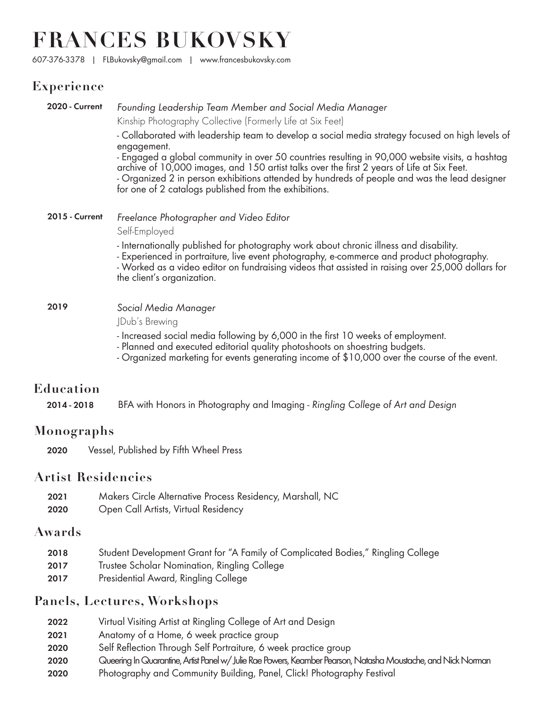# **FRANCES BUKOVSKY**

607-376-3378 | FLBukovsky@gmail.com | www.francesbukovsky.com

### **Experience**

| <b>2020 - Current</b> | Founding Leadership Team Member and Social Media Manager<br>Kinship Photography Collective (Formerly Life at Six Feet)<br>- Collaborated with leadership team to develop a social media strategy focused on high levels of<br>engagement.<br>- Engaged a global community in over 50 countries resulting in 90,000 website visits, a hashtag<br>archive of 10,000 images, and 150 artist talks over the first 2 years of Life at Six Feet.<br>- Organized 2 in person exhibitions attended by hundreds of people and was the lead designer<br>for one of 2 catalogs published from the exhibitions. |
|-----------------------|-----------------------------------------------------------------------------------------------------------------------------------------------------------------------------------------------------------------------------------------------------------------------------------------------------------------------------------------------------------------------------------------------------------------------------------------------------------------------------------------------------------------------------------------------------------------------------------------------------|
| <b>2015 - Current</b> | Freelance Photographer and Video Editor<br>Self-Employed<br>- Internationally published for photography work about chronic illness and disability.<br>- Experienced in portraiture, live event photography, e-commerce and product photography.<br>- Worked as a video editor on fundraising videos that assisted in raising over 25,000 dollars for<br>the client's organization.                                                                                                                                                                                                                  |
| 2019                  | Social Media Manager<br>JDub's Brewing<br>- Increased social media following by 6,000 in the first 10 weeks of employment.<br>- Planned and executed editorial quality photoshoots on shoestring budgets.<br>- Organized marketing for events generating income of \$10,000 over the course of the event.                                                                                                                                                                                                                                                                                           |

## **Education**

2014 - 2018 BFA with Honors in Photography and Imaging - *Ringling College of Art and Design*

## **Monographs**

2020 Vessel, Published by Fifth Wheel Press

#### **Artist Residencies**

| 2021 | Makers Circle Alternative Process Residency, Marshall, NC |
|------|-----------------------------------------------------------|
| 2020 | Open Call Artists, Virtual Residency                      |

#### **Awards**

- 2018 Student Development Grant for "A Family of Complicated Bodies," Ringling College
- 2017 Trustee Scholar Nomination, Ringling College
- 2017 Presidential Award, Ringling College

## **Panels, Lectures, Workshops**

- 2022 Virtual Visiting Artist at Ringling College of Art and Design
- 2021 Anatomy of a Home, 6 week practice group
- 2020 Self Reflection Through Self Portraiture, 6 week practice group
- 2020 Queering In Quarantine, Artist Panel w/ Julie Rae Powers, Keamber Pearson, Natasha Moustache, and Nick Norman
- 2020 Photography and Community Building, Panel, Click! Photography Festival